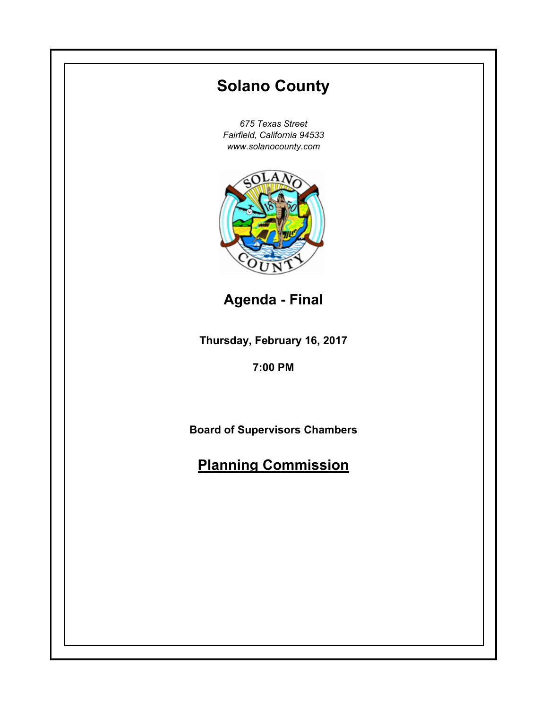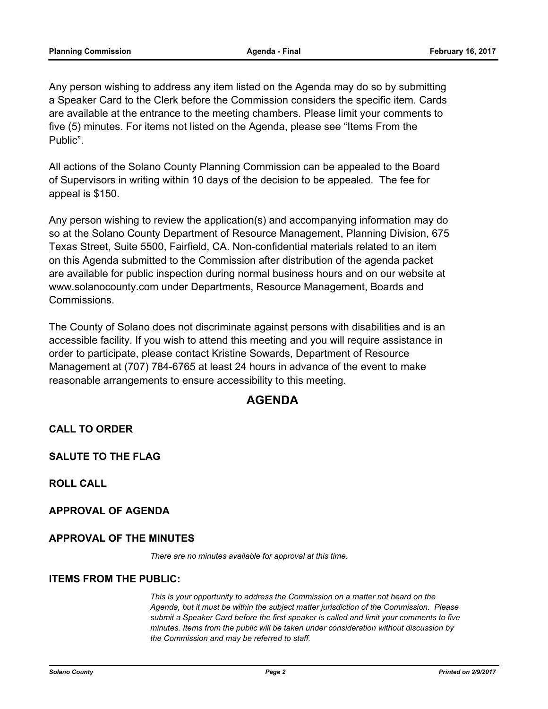Any person wishing to address any item listed on the Agenda may do so by submitting a Speaker Card to the Clerk before the Commission considers the specific item. Cards are available at the entrance to the meeting chambers. Please limit your comments to five (5) minutes. For items not listed on the Agenda, please see "Items From the Public".

All actions of the Solano County Planning Commission can be appealed to the Board of Supervisors in writing within 10 days of the decision to be appealed. The fee for appeal is \$150.

Any person wishing to review the application(s) and accompanying information may do so at the Solano County Department of Resource Management, Planning Division, 675 Texas Street, Suite 5500, Fairfield, CA. Non-confidential materials related to an item on this Agenda submitted to the Commission after distribution of the agenda packet are available for public inspection during normal business hours and on our website at www.solanocounty.com under Departments, Resource Management, Boards and Commissions.

The County of Solano does not discriminate against persons with disabilities and is an accessible facility. If you wish to attend this meeting and you will require assistance in order to participate, please contact Kristine Sowards, Department of Resource Management at (707) 784-6765 at least 24 hours in advance of the event to make reasonable arrangements to ensure accessibility to this meeting.

# **AGENDA**

**CALL TO ORDER**

**SALUTE TO THE FLAG**

**ROLL CALL**

**APPROVAL OF AGENDA**

### **APPROVAL OF THE MINUTES**

*There are no minutes available for approval at this time.*

#### **ITEMS FROM THE PUBLIC:**

*This is your opportunity to address the Commission on a matter not heard on the Agenda, but it must be within the subject matter jurisdiction of the Commission. Please submit a Speaker Card before the first speaker is called and limit your comments to five minutes. Items from the public will be taken under consideration without discussion by the Commission and may be referred to staff.*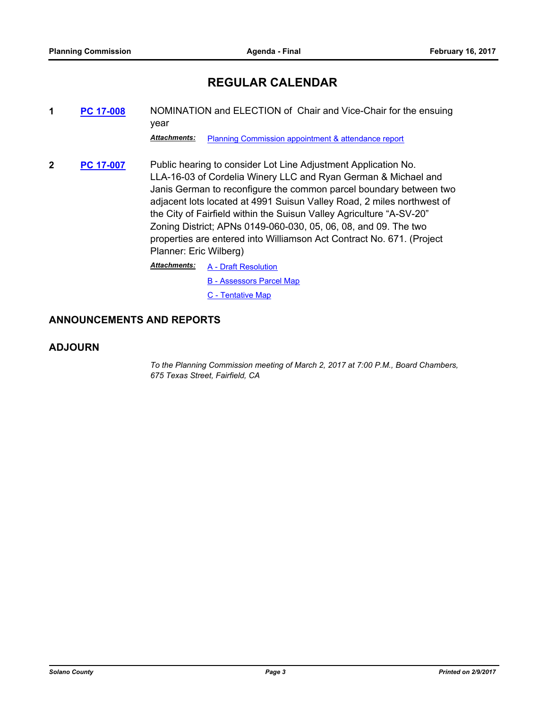# **REGULAR CALENDAR**

**1 [PC 17-008](#page-3-0)** NOMINATION and ELECTION of Chair and Vice-Chair for the ensuing year

*Attachments:* [Planning Commission appointment & attendance report](#page-4-0)

**2 [PC 17-007](#page-5-0)** Public hearing to consider Lot Line Adjustment Application No. LLA-16-03 of Cordelia Winery LLC and Ryan German & Michael and Janis German to reconfigure the common parcel boundary between two adjacent lots located at 4991 Suisun Valley Road, 2 miles northwest of the City of Fairfield within the Suisun Valley Agriculture "A-SV-20" Zoning District; APNs 0149-060-030, 05, 06, 08, and 09. The two properties are entered into Williamson Act Contract No. 671. (Project Planner: Eric Wilberg)

> [A - Draft Resolution](#page-11-0) *Attachments:*

- [B Assessors Parcel Map](#page-14-0)
- [C Tentative Map](#page-15-0)

#### **ANNOUNCEMENTS AND REPORTS**

#### **ADJOURN**

*To the Planning Commission meeting of March 2, 2017 at 7:00 P.M., Board Chambers, 675 Texas Street, Fairfield, CA*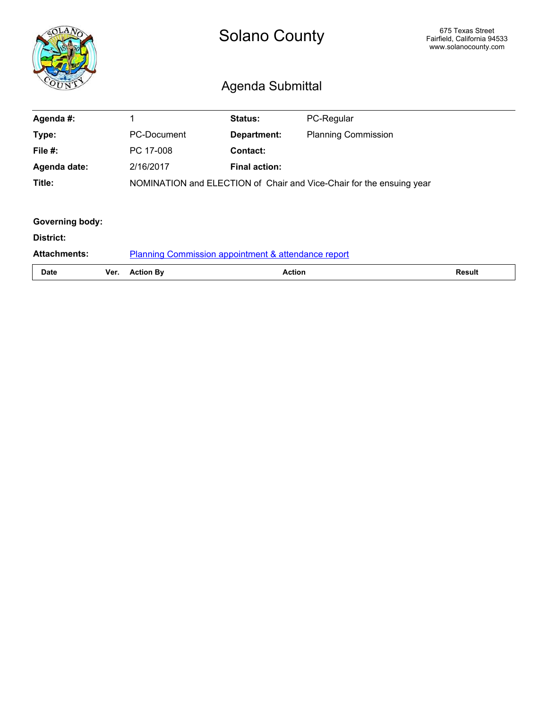<span id="page-3-0"></span>

|                        |      | <b>Solano County</b><br>Agenda Submittal                             | 675 Texas Street<br>Fairfield, California 94533<br>www.solanocounty.com |                            |               |
|------------------------|------|----------------------------------------------------------------------|-------------------------------------------------------------------------|----------------------------|---------------|
| Agenda #:              |      | 1                                                                    | <b>Status:</b>                                                          | PC-Regular                 |               |
| Type:                  |      | <b>PC-Document</b>                                                   | <b>Department:</b>                                                      | <b>Planning Commission</b> |               |
| File $#$ :             |      | PC 17-008                                                            | <b>Contact:</b>                                                         |                            |               |
| Agenda date:           |      | 2/16/2017                                                            | <b>Final action:</b>                                                    |                            |               |
| Title:                 |      | NOMINATION and ELECTION of Chair and Vice-Chair for the ensuing year |                                                                         |                            |               |
|                        |      |                                                                      |                                                                         |                            |               |
| <b>Governing body:</b> |      |                                                                      |                                                                         |                            |               |
| District:              |      |                                                                      |                                                                         |                            |               |
| <b>Attachments:</b>    |      | <b>Planning Commission appointment &amp; attendance report</b>       |                                                                         |                            |               |
| <b>Date</b>            | Ver. | <b>Action By</b>                                                     | <b>Action</b>                                                           |                            | <b>Result</b> |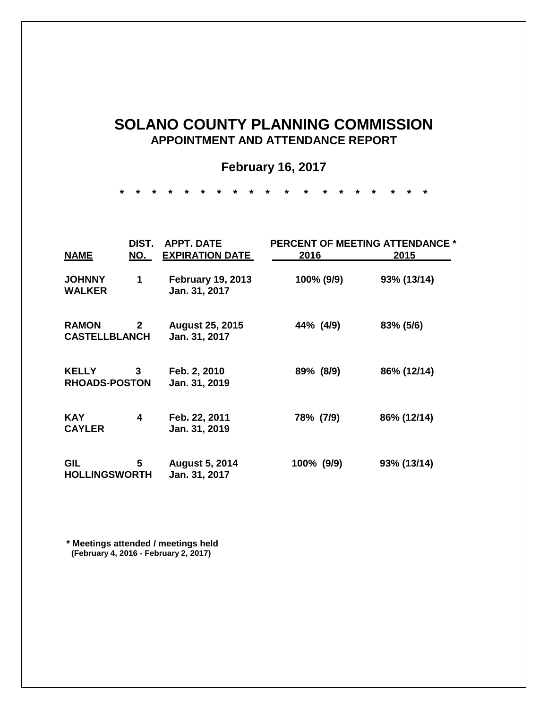# <span id="page-4-0"></span>**SOLANO COUNTY PLANNING COMMISSION APPOINTMENT AND ATTENDANCE REPORT**

# **February 16, 2017**

**\* \* \* \* \* \* \* \* \* \* \* \* \* \* \* \* \* \* \*** 

| DIST.                                |              | <b>APPT. DATE</b>                         | <b>PERCENT OF MEETING ATTENDANCE *</b> |             |  |
|--------------------------------------|--------------|-------------------------------------------|----------------------------------------|-------------|--|
| <b>NAME</b>                          | NO.          | <b>EXPIRATION DATE</b>                    | 2016                                   | 2015        |  |
| <b>JOHNNY</b><br><b>WALKER</b>       | 1            | <b>February 19, 2013</b><br>Jan. 31, 2017 | 100% (9/9)                             | 93% (13/14) |  |
| <b>RAMON</b><br><b>CASTELLBLANCH</b> | $\mathbf{2}$ | <b>August 25, 2015</b><br>Jan. 31, 2017   | 44% (4/9)                              | 83% (5/6)   |  |
| <b>KELLY</b><br><b>RHOADS-POSTON</b> | 3            | Feb. 2, 2010<br>Jan. 31, 2019             | 89% (8/9)                              | 86% (12/14) |  |
| <b>KAY</b><br><b>CAYLER</b>          | 4            | Feb. 22, 2011<br>Jan. 31, 2019            | 78% (7/9)                              | 86% (12/14) |  |
| GIL<br><b>HOLLINGSWORTH</b>          | 5            | <b>August 5, 2014</b><br>Jan. 31, 2017    | 100% (9/9)                             | 93% (13/14) |  |

**\* Meetings attended / meetings held (February 4, 2016 - February 2, 2017)**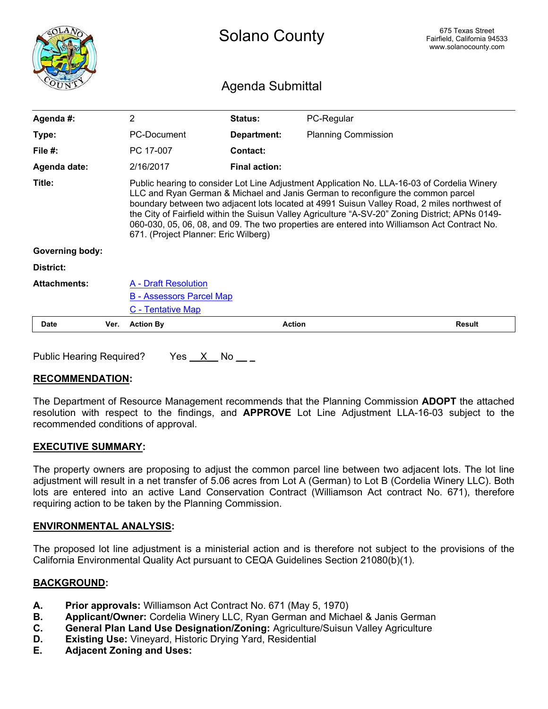<span id="page-5-0"></span>

|                        |      | <b>Solano County</b>                                                                                                                                                                                                                                                                                                                                                                                                                                                                                                      |                      |                            | 675 Texas Street<br>Fairfield, California 94533<br>www.solanocounty.com |
|------------------------|------|---------------------------------------------------------------------------------------------------------------------------------------------------------------------------------------------------------------------------------------------------------------------------------------------------------------------------------------------------------------------------------------------------------------------------------------------------------------------------------------------------------------------------|----------------------|----------------------------|-------------------------------------------------------------------------|
| Agenda Submittal       |      |                                                                                                                                                                                                                                                                                                                                                                                                                                                                                                                           |                      |                            |                                                                         |
| Agenda #:              |      | $\overline{2}$                                                                                                                                                                                                                                                                                                                                                                                                                                                                                                            | Status:              | PC-Regular                 |                                                                         |
| Type:                  |      | PC-Document                                                                                                                                                                                                                                                                                                                                                                                                                                                                                                               | Department:          | <b>Planning Commission</b> |                                                                         |
| File $#$ :             |      | PC 17-007                                                                                                                                                                                                                                                                                                                                                                                                                                                                                                                 | Contact:             |                            |                                                                         |
| Agenda date:           |      | 2/16/2017                                                                                                                                                                                                                                                                                                                                                                                                                                                                                                                 | <b>Final action:</b> |                            |                                                                         |
| Title:                 |      | Public hearing to consider Lot Line Adjustment Application No. LLA-16-03 of Cordelia Winery<br>LLC and Ryan German & Michael and Janis German to reconfigure the common parcel<br>boundary between two adjacent lots located at 4991 Suisun Valley Road, 2 miles northwest of<br>the City of Fairfield within the Suisun Valley Agriculture "A-SV-20" Zoning District; APNs 0149-<br>060-030, 05, 06, 08, and 09. The two properties are entered into Williamson Act Contract No.<br>671. (Project Planner: Eric Wilberg) |                      |                            |                                                                         |
| <b>Governing body:</b> |      |                                                                                                                                                                                                                                                                                                                                                                                                                                                                                                                           |                      |                            |                                                                         |
| District:              |      |                                                                                                                                                                                                                                                                                                                                                                                                                                                                                                                           |                      |                            |                                                                         |
| <b>Attachments:</b>    |      | A - Draft Resolution<br><b>B - Assessors Parcel Map</b><br>C - Tentative Map                                                                                                                                                                                                                                                                                                                                                                                                                                              |                      |                            |                                                                         |
| <b>Date</b>            | Ver. | <b>Action By</b>                                                                                                                                                                                                                                                                                                                                                                                                                                                                                                          |                      | <b>Action</b>              | <b>Result</b>                                                           |

Public Hearing Required? Yes  $X$  No  $-$ 

#### **RECOMMENDATION:**

The Department of Resource Management recommends that the Planning Commission **ADOPT** the attached resolution with respect to the findings, and **APPROVE** Lot Line Adjustment LLA-16-03 subject to the recommended conditions of approval.

#### **EXECUTIVE SUMMARY:**

The property owners are proposing to adjust the common parcel line between two adjacent lots. The lot line adjustment will result in a net transfer of 5.06 acres from Lot A (German) to Lot B (Cordelia Winery LLC). Both lots are entered into an active Land Conservation Contract (Williamson Act contract No. 671), therefore requiring action to be taken by the Planning Commission.

#### **ENVIRONMENTAL ANALYSIS:**

The proposed lot line adjustment is a ministerial action and is therefore not subject to the provisions of the California Environmental Quality Act pursuant to CEQA Guidelines Section 21080(b)(1).

#### **BACKGROUND:**

- **A. Prior approvals:** Williamson Act Contract No. 671 (May 5, 1970)
- **B. Applicant/Owner:** Cordelia Winery LLC, Ryan German and Michael & Janis German
- **C. General Plan Land Use Designation/Zoning:** Agriculture/Suisun Valley Agriculture
- **D. Existing Use:** Vineyard, Historic Drying Yard, Residential
- **E. Adjacent Zoning and Uses:**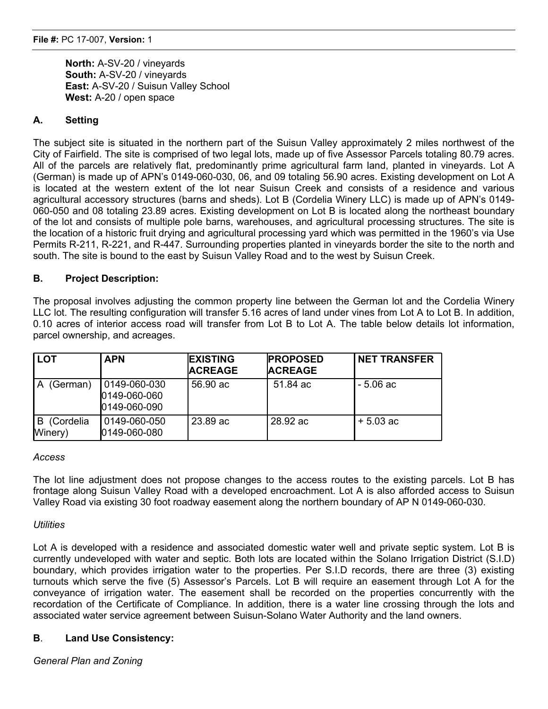**North:** A-SV-20 / vineyards **South:** A-SV-20 / vineyards **East:** A-SV-20 / Suisun Valley School **West:** A-20 / open space

## **A. Setting**

The subject site is situated in the northern part of the Suisun Valley approximately 2 miles northwest of the City of Fairfield. The site is comprised of two legal lots, made up of five Assessor Parcels totaling 80.79 acres. All of the parcels are relatively flat, predominantly prime agricultural farm land, planted in vineyards. Lot A (German) is made up of APN's 0149-060-030, 06, and 09 totaling 56.90 acres. Existing development on Lot A is located at the western extent of the lot near Suisun Creek and consists of a residence and various agricultural accessory structures (barns and sheds). Lot B (Cordelia Winery LLC) is made up of APN's 0149- 060-050 and 08 totaling 23.89 acres. Existing development on Lot B is located along the northeast boundary of the lot and consists of multiple pole barns, warehouses, and agricultural processing structures. The site is the location of a historic fruit drying and agricultural processing yard which was permitted in the 1960's via Use Permits R-211, R-221, and R-447. Surrounding properties planted in vineyards border the site to the north and south. The site is bound to the east by Suisun Valley Road and to the west by Suisun Creek.

### **B. Project Description:**

The proposal involves adjusting the common property line between the German lot and the Cordelia Winery LLC lot. The resulting configuration will transfer 5.16 acres of land under vines from Lot A to Lot B. In addition, 0.10 acres of interior access road will transfer from Lot B to Lot A. The table below details lot information, parcel ownership, and acreages.

| <b>LOT</b>                | <b>APN</b>                                   | <b>EXISTING</b><br><b>ACREAGE</b> | <b>PROPOSED</b><br><b>ACREAGE</b> | <b>NET TRANSFER</b> |
|---------------------------|----------------------------------------------|-----------------------------------|-----------------------------------|---------------------|
| (German)                  | 0149-060-030<br>0149-060-060<br>0149-060-090 | 56,90 ac                          | 51.84 ac                          | - 5.06 ac           |
| (Cordelia<br>B<br>Winery) | 0149-060-050<br>0149-060-080                 | 23.89 ac                          | 28.92 ac                          | $+5.03$ ac          |

#### *Access*

The lot line adjustment does not propose changes to the access routes to the existing parcels. Lot B has frontage along Suisun Valley Road with a developed encroachment. Lot A is also afforded access to Suisun Valley Road via existing 30 foot roadway easement along the northern boundary of AP N 0149-060-030.

#### *Utilities*

Lot A is developed with a residence and associated domestic water well and private septic system. Lot B is currently undeveloped with water and septic. Both lots are located within the Solano Irrigation District (S.I.D) boundary, which provides irrigation water to the properties. Per S.I.D records, there are three (3) existing turnouts which serve the five (5) Assessor's Parcels. Lot B will require an easement through Lot A for the conveyance of irrigation water. The easement shall be recorded on the properties concurrently with the recordation of the Certificate of Compliance. In addition, there is a water line crossing through the lots and associated water service agreement between Suisun-Solano Water Authority and the land owners.

#### **B**. **Land Use Consistency:**

*General Plan and Zoning*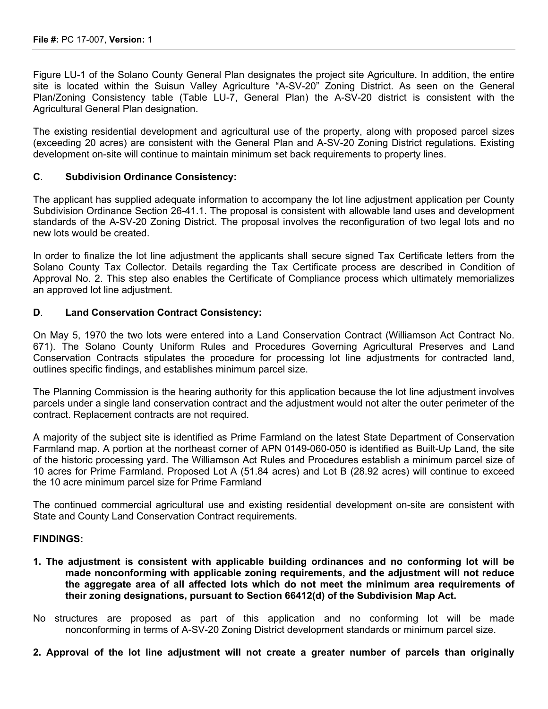Figure LU-1 of the Solano County General Plan designates the project site Agriculture. In addition, the entire site is located within the Suisun Valley Agriculture "A-SV-20" Zoning District. As seen on the General Plan/Zoning Consistency table (Table LU-7, General Plan) the A-SV-20 district is consistent with the Agricultural General Plan designation.

The existing residential development and agricultural use of the property, along with proposed parcel sizes (exceeding 20 acres) are consistent with the General Plan and A-SV-20 Zoning District regulations. Existing development on-site will continue to maintain minimum set back requirements to property lines.

#### **C**. **Subdivision Ordinance Consistency:**

The applicant has supplied adequate information to accompany the lot line adjustment application per County Subdivision Ordinance Section 26-41.1. The proposal is consistent with allowable land uses and development standards of the A-SV-20 Zoning District. The proposal involves the reconfiguration of two legal lots and no new lots would be created.

In order to finalize the lot line adjustment the applicants shall secure signed Tax Certificate letters from the Solano County Tax Collector. Details regarding the Tax Certificate process are described in Condition of Approval No. 2. This step also enables the Certificate of Compliance process which ultimately memorializes an approved lot line adjustment.

#### **D**. **Land Conservation Contract Consistency:**

On May 5, 1970 the two lots were entered into a Land Conservation Contract (Williamson Act Contract No. 671). The Solano County Uniform Rules and Procedures Governing Agricultural Preserves and Land Conservation Contracts stipulates the procedure for processing lot line adjustments for contracted land, outlines specific findings, and establishes minimum parcel size.

The Planning Commission is the hearing authority for this application because the lot line adjustment involves parcels under a single land conservation contract and the adjustment would not alter the outer perimeter of the contract. Replacement contracts are not required.

A majority of the subject site is identified as Prime Farmland on the latest State Department of Conservation Farmland map. A portion at the northeast corner of APN 0149-060-050 is identified as Built-Up Land, the site of the historic processing yard. The Williamson Act Rules and Procedures establish a minimum parcel size of 10 acres for Prime Farmland. Proposed Lot A (51.84 acres) and Lot B (28.92 acres) will continue to exceed the 10 acre minimum parcel size for Prime Farmland

The continued commercial agricultural use and existing residential development on-site are consistent with State and County Land Conservation Contract requirements.

#### **FINDINGS:**

- **1. The adjustment is consistent with applicable building ordinances and no conforming lot will be made nonconforming with applicable zoning requirements, and the adjustment will not reduce the aggregate area of all affected lots which do not meet the minimum area requirements of their zoning designations, pursuant to Section 66412(d) of the Subdivision Map Act.**
- No structures are proposed as part of this application and no conforming lot will be made nonconforming in terms of A-SV-20 Zoning District development standards or minimum parcel size.
- **2. Approval of the lot line adjustment will not create a greater number of parcels than originally**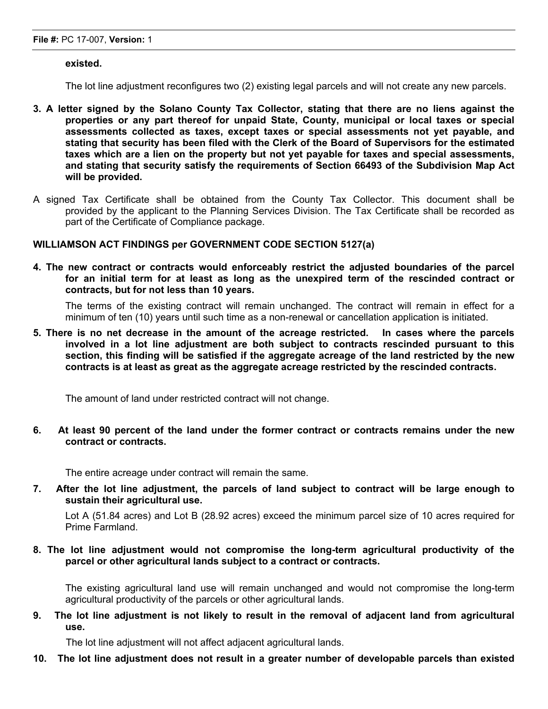#### **existed.**

The lot line adjustment reconfigures two (2) existing legal parcels and will not create any new parcels.

- **3. A letter signed by the Solano County Tax Collector, stating that there are no liens against the properties or any part thereof for unpaid State, County, municipal or local taxes or special assessments collected as taxes, except taxes or special assessments not yet payable, and stating that security has been filed with the Clerk of the Board of Supervisors for the estimated taxes which are a lien on the property but not yet payable for taxes and special assessments, and stating that security satisfy the requirements of Section 66493 of the Subdivision Map Act will be provided.**
- A signed Tax Certificate shall be obtained from the County Tax Collector. This document shall be provided by the applicant to the Planning Services Division. The Tax Certificate shall be recorded as part of the Certificate of Compliance package.

#### **WILLIAMSON ACT FINDINGS per GOVERNMENT CODE SECTION 5127(a)**

**4. The new contract or contracts would enforceably restrict the adjusted boundaries of the parcel for an initial term for at least as long as the unexpired term of the rescinded contract or contracts, but for not less than 10 years.**

The terms of the existing contract will remain unchanged. The contract will remain in effect for a minimum of ten (10) years until such time as a non-renewal or cancellation application is initiated.

**5. There is no net decrease in the amount of the acreage restricted. In cases where the parcels involved in a lot line adjustment are both subject to contracts rescinded pursuant to this section, this finding will be satisfied if the aggregate acreage of the land restricted by the new contracts is at least as great as the aggregate acreage restricted by the rescinded contracts.**

The amount of land under restricted contract will not change.

**6. At least 90 percent of the land under the former contract or contracts remains under the new contract or contracts.**

The entire acreage under contract will remain the same.

**7. After the lot line adjustment, the parcels of land subject to contract will be large enough to sustain their agricultural use.**

Lot A (51.84 acres) and Lot B (28.92 acres) exceed the minimum parcel size of 10 acres required for Prime Farmland.

**8. The lot line adjustment would not compromise the long-term agricultural productivity of the parcel or other agricultural lands subject to a contract or contracts.**

The existing agricultural land use will remain unchanged and would not compromise the long-term agricultural productivity of the parcels or other agricultural lands.

9. The lot line adjustment is not likely to result in the removal of adjacent land from agricultural **use.**

The lot line adjustment will not affect adjacent agricultural lands.

**10. The lot line adjustment does not result in a greater number of developable parcels than existed**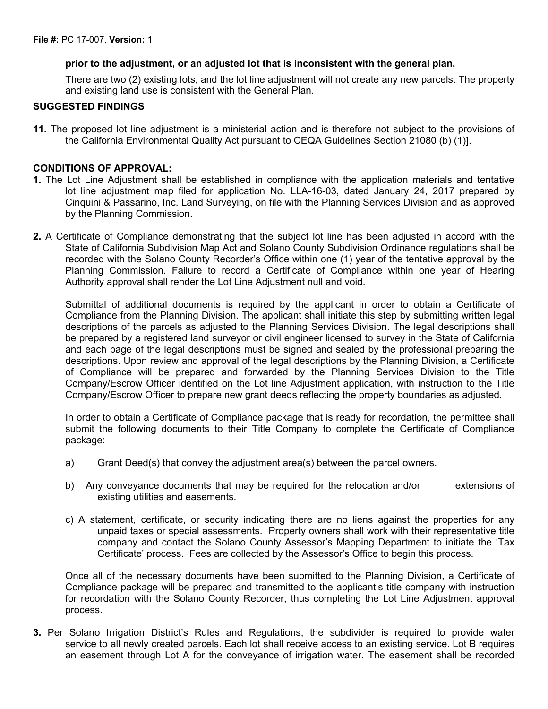#### **prior to the adjustment, or an adjusted lot that is inconsistent with the general plan.**

There are two (2) existing lots, and the lot line adjustment will not create any new parcels. The property and existing land use is consistent with the General Plan.

#### **SUGGESTED FINDINGS**

**11.** The proposed lot line adjustment is a ministerial action and is therefore not subject to the provisions of the California Environmental Quality Act pursuant to CEQA Guidelines Section 21080 (b) (1)].

#### **CONDITIONS OF APPROVAL:**

- **1.** The Lot Line Adjustment shall be established in compliance with the application materials and tentative lot line adjustment map filed for application No. LLA-16-03, dated January 24, 2017 prepared by Cinquini & Passarino, Inc. Land Surveying, on file with the Planning Services Division and as approved by the Planning Commission.
- **2.** A Certificate of Compliance demonstrating that the subject lot line has been adjusted in accord with the State of California Subdivision Map Act and Solano County Subdivision Ordinance regulations shall be recorded with the Solano County Recorder's Office within one (1) year of the tentative approval by the Planning Commission. Failure to record a Certificate of Compliance within one year of Hearing Authority approval shall render the Lot Line Adjustment null and void.

Submittal of additional documents is required by the applicant in order to obtain a Certificate of Compliance from the Planning Division. The applicant shall initiate this step by submitting written legal descriptions of the parcels as adjusted to the Planning Services Division. The legal descriptions shall be prepared by a registered land surveyor or civil engineer licensed to survey in the State of California and each page of the legal descriptions must be signed and sealed by the professional preparing the descriptions. Upon review and approval of the legal descriptions by the Planning Division, a Certificate of Compliance will be prepared and forwarded by the Planning Services Division to the Title Company/Escrow Officer identified on the Lot line Adjustment application, with instruction to the Title Company/Escrow Officer to prepare new grant deeds reflecting the property boundaries as adjusted.

In order to obtain a Certificate of Compliance package that is ready for recordation, the permittee shall submit the following documents to their Title Company to complete the Certificate of Compliance package:

- a) Grant Deed(s) that convey the adjustment area(s) between the parcel owners.
- b) Any conveyance documents that may be required for the relocation and/or extensions of existing utilities and easements.
- c) A statement, certificate, or security indicating there are no liens against the properties for any unpaid taxes or special assessments. Property owners shall work with their representative title company and contact the Solano County Assessor's Mapping Department to initiate the 'Tax Certificate' process. Fees are collected by the Assessor's Office to begin this process.

Once all of the necessary documents have been submitted to the Planning Division, a Certificate of Compliance package will be prepared and transmitted to the applicant's title company with instruction for recordation with the Solano County Recorder, thus completing the Lot Line Adjustment approval process.

**3.** Per Solano Irrigation District's Rules and Regulations, the subdivider is required to provide water service to all newly created parcels. Each lot shall receive access to an existing service. Lot B requires an easement through Lot A for the conveyance of irrigation water. The easement shall be recorded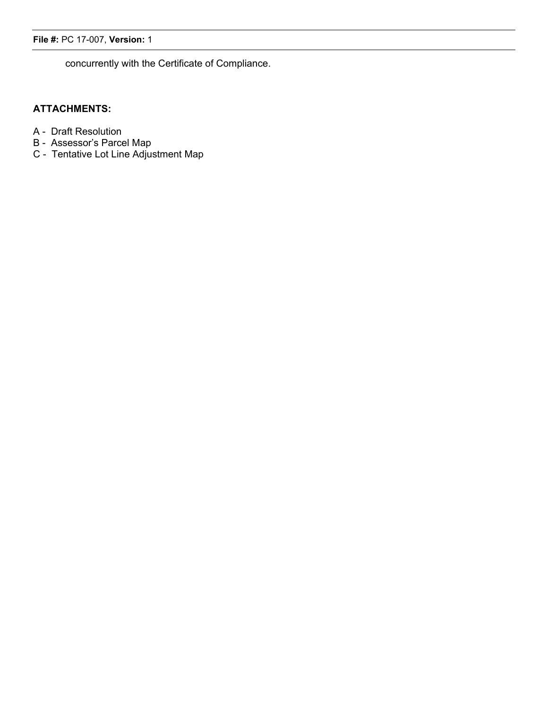concurrently with the Certificate of Compliance.

## **ATTACHMENTS:**

- A Draft Resolution
- B Assessor's Parcel Map
- C Tentative Lot Line Adjustment Map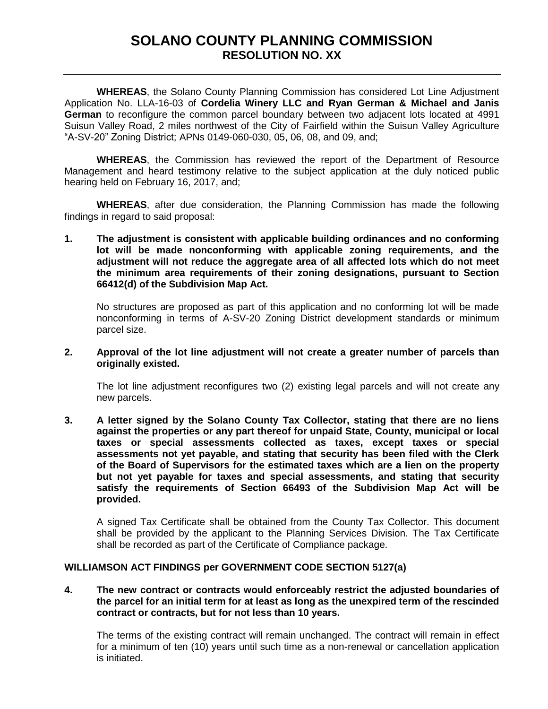# **SOLANO COUNTY PLANNING COMMISSION RESOLUTION NO. XX**

<span id="page-11-0"></span>**WHEREAS**, the Solano County Planning Commission has considered Lot Line Adjustment Application No. LLA-16-03 of **Cordelia Winery LLC and Ryan German & Michael and Janis German** to reconfigure the common parcel boundary between two adjacent lots located at 4991 Suisun Valley Road, 2 miles northwest of the City of Fairfield within the Suisun Valley Agriculture "A-SV-20" Zoning District; APNs 0149-060-030, 05, 06, 08, and 09, and;

**WHEREAS**, the Commission has reviewed the report of the Department of Resource Management and heard testimony relative to the subject application at the duly noticed public hearing held on February 16, 2017, and;

**WHEREAS**, after due consideration, the Planning Commission has made the following findings in regard to said proposal:

**1. The adjustment is consistent with applicable building ordinances and no conforming lot will be made nonconforming with applicable zoning requirements, and the adjustment will not reduce the aggregate area of all affected lots which do not meet the minimum area requirements of their zoning designations, pursuant to Section 66412(d) of the Subdivision Map Act.**

No structures are proposed as part of this application and no conforming lot will be made nonconforming in terms of A-SV-20 Zoning District development standards or minimum parcel size.

#### **2. Approval of the lot line adjustment will not create a greater number of parcels than originally existed.**

The lot line adjustment reconfigures two (2) existing legal parcels and will not create any new parcels.

**3. A letter signed by the Solano County Tax Collector, stating that there are no liens against the properties or any part thereof for unpaid State, County, municipal or local taxes or special assessments collected as taxes, except taxes or special assessments not yet payable, and stating that security has been filed with the Clerk of the Board of Supervisors for the estimated taxes which are a lien on the property but not yet payable for taxes and special assessments, and stating that security satisfy the requirements of Section 66493 of the Subdivision Map Act will be provided.** 

A signed Tax Certificate shall be obtained from the County Tax Collector. This document shall be provided by the applicant to the Planning Services Division. The Tax Certificate shall be recorded as part of the Certificate of Compliance package.

#### **WILLIAMSON ACT FINDINGS per GOVERNMENT CODE SECTION 5127(a)**

#### **4. The new contract or contracts would enforceably restrict the adjusted boundaries of the parcel for an initial term for at least as long as the unexpired term of the rescinded contract or contracts, but for not less than 10 years.**

The terms of the existing contract will remain unchanged. The contract will remain in effect for a minimum of ten (10) years until such time as a non-renewal or cancellation application is initiated.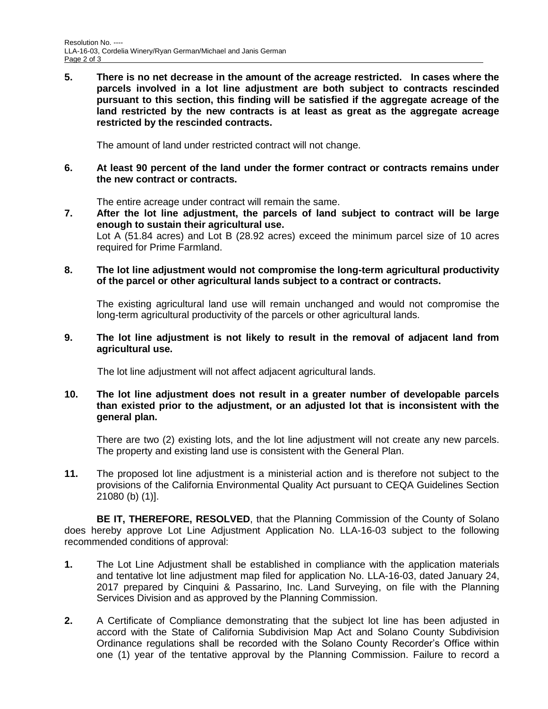**5. There is no net decrease in the amount of the acreage restricted. In cases where the parcels involved in a lot line adjustment are both subject to contracts rescinded pursuant to this section, this finding will be satisfied if the aggregate acreage of the land restricted by the new contracts is at least as great as the aggregate acreage restricted by the rescinded contracts.**

The amount of land under restricted contract will not change.

**6. At least 90 percent of the land under the former contract or contracts remains under the new contract or contracts.**

The entire acreage under contract will remain the same.

**7. After the lot line adjustment, the parcels of land subject to contract will be large enough to sustain their agricultural use.**

Lot A (51.84 acres) and Lot B (28.92 acres) exceed the minimum parcel size of 10 acres required for Prime Farmland.

#### **8. The lot line adjustment would not compromise the long-term agricultural productivity of the parcel or other agricultural lands subject to a contract or contracts.**

The existing agricultural land use will remain unchanged and would not compromise the long-term agricultural productivity of the parcels or other agricultural lands.

#### **9. The lot line adjustment is not likely to result in the removal of adjacent land from agricultural use.**

The lot line adjustment will not affect adjacent agricultural lands.

#### **10. The lot line adjustment does not result in a greater number of developable parcels than existed prior to the adjustment, or an adjusted lot that is inconsistent with the general plan.**

There are two (2) existing lots, and the lot line adjustment will not create any new parcels. The property and existing land use is consistent with the General Plan.

**11.** The proposed lot line adjustment is a ministerial action and is therefore not subject to the provisions of the California Environmental Quality Act pursuant to CEQA Guidelines Section 21080 (b) (1)].

**BE IT, THEREFORE, RESOLVED**, that the Planning Commission of the County of Solano does hereby approve Lot Line Adjustment Application No. LLA-16-03 subject to the following recommended conditions of approval:

- **1.** The Lot Line Adjustment shall be established in compliance with the application materials and tentative lot line adjustment map filed for application No. LLA-16-03, dated January 24, 2017 prepared by Cinquini & Passarino, Inc. Land Surveying, on file with the Planning Services Division and as approved by the Planning Commission.
- **2.** A Certificate of Compliance demonstrating that the subject lot line has been adjusted in accord with the State of California Subdivision Map Act and Solano County Subdivision Ordinance regulations shall be recorded with the Solano County Recorder's Office within one (1) year of the tentative approval by the Planning Commission. Failure to record a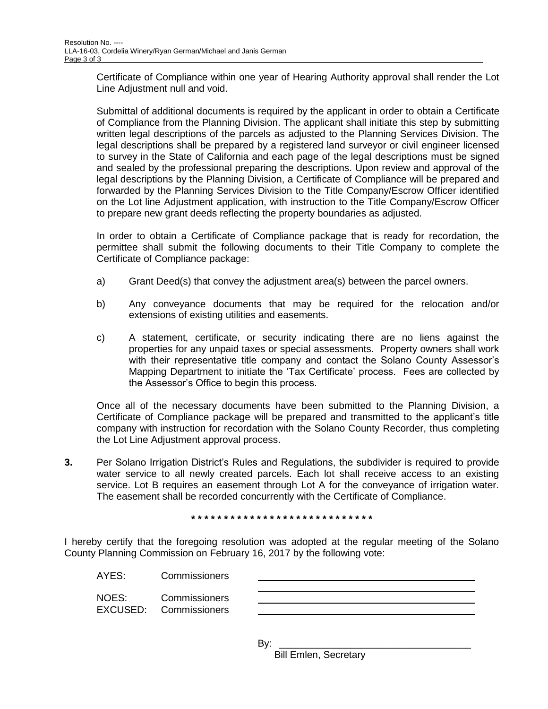Certificate of Compliance within one year of Hearing Authority approval shall render the Lot Line Adjustment null and void.

Submittal of additional documents is required by the applicant in order to obtain a Certificate of Compliance from the Planning Division. The applicant shall initiate this step by submitting written legal descriptions of the parcels as adjusted to the Planning Services Division. The legal descriptions shall be prepared by a registered land surveyor or civil engineer licensed to survey in the State of California and each page of the legal descriptions must be signed and sealed by the professional preparing the descriptions. Upon review and approval of the legal descriptions by the Planning Division, a Certificate of Compliance will be prepared and forwarded by the Planning Services Division to the Title Company/Escrow Officer identified on the Lot line Adjustment application, with instruction to the Title Company/Escrow Officer to prepare new grant deeds reflecting the property boundaries as adjusted.

In order to obtain a Certificate of Compliance package that is ready for recordation, the permittee shall submit the following documents to their Title Company to complete the Certificate of Compliance package:

- a) Grant Deed(s) that convey the adjustment area(s) between the parcel owners.
- b) Any conveyance documents that may be required for the relocation and/or extensions of existing utilities and easements.
- c) A statement, certificate, or security indicating there are no liens against the properties for any unpaid taxes or special assessments. Property owners shall work with their representative title company and contact the Solano County Assessor's Mapping Department to initiate the 'Tax Certificate' process. Fees are collected by the Assessor's Office to begin this process.

Once all of the necessary documents have been submitted to the Planning Division, a Certificate of Compliance package will be prepared and transmitted to the applicant's title company with instruction for recordation with the Solano County Recorder, thus completing the Lot Line Adjustment approval process.

**3.** Per Solano Irrigation District's Rules and Regulations, the subdivider is required to provide water service to all newly created parcels. Each lot shall receive access to an existing service. Lot B requires an easement through Lot A for the conveyance of irrigation water. The easement shall be recorded concurrently with the Certificate of Compliance.

**\* \* \* \* \* \* \* \* \* \* \* \* \* \* \* \* \* \* \* \* \* \* \* \* \* \* \* \***

I hereby certify that the foregoing resolution was adopted at the regular meeting of the Solano County Planning Commission on February 16, 2017 by the following vote:

| AYES: | Commissioners |  |
|-------|---------------|--|
|       |               |  |

NOES: Commissioners EXCUSED: Commissioners

By: \_\_\_\_\_\_\_\_\_\_\_\_\_\_\_\_\_\_\_\_\_\_\_\_\_\_\_\_\_\_\_\_\_\_\_

Bill Emlen, Secretary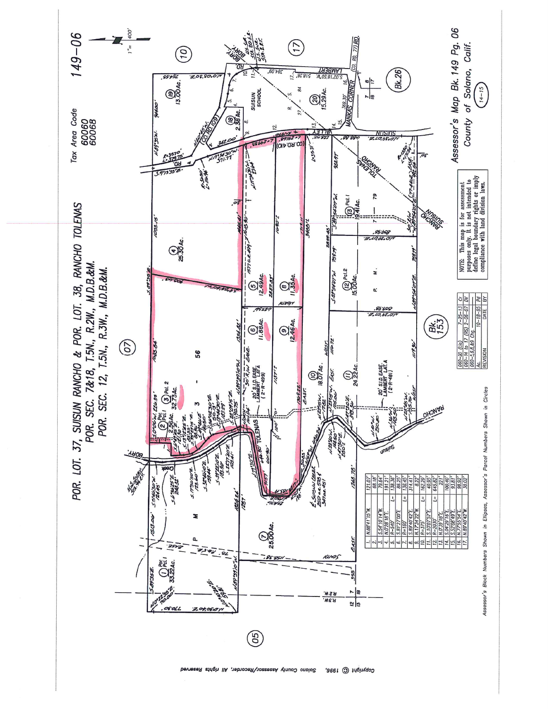![](_page_14_Figure_0.jpeg)